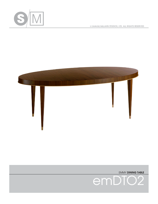

© SHAVER/MELAHN STUDIOS, LTD. ALL RIGHTS RESERVED